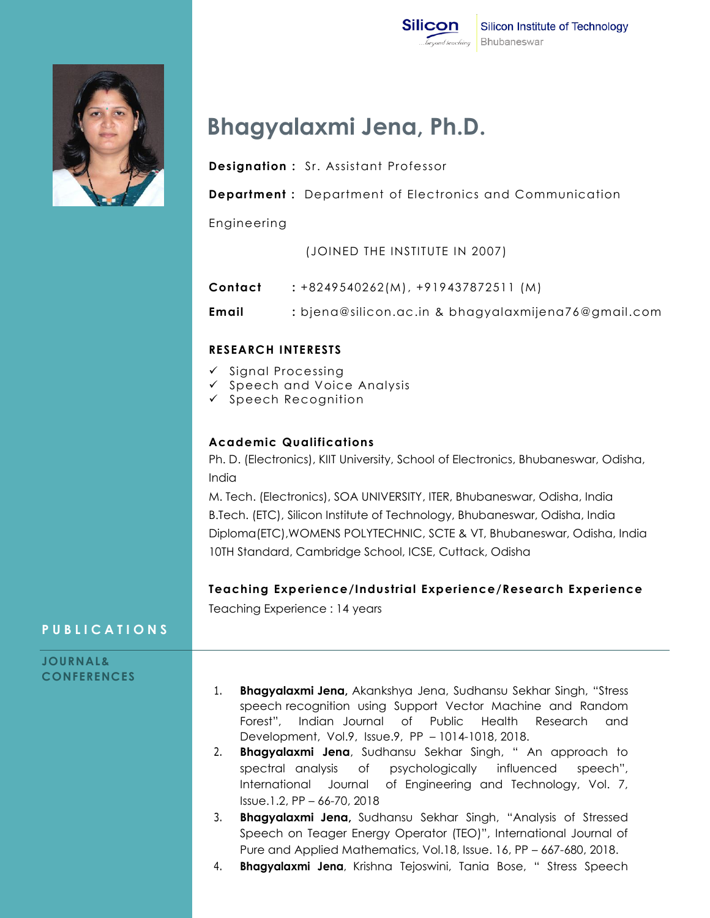



# **Bhagyalaxmi Jena, Ph.D.**

- **Designation :** Sr. Assistant Professor
- **Department :** Department of Electronics and Communication

Engineering

(JOINED THE INSTITUTE IN 2007)

**Contact :** +8249540262(M), +919437872511 (M) **Email :** bjena@silicon.ac.in & bhagyalaxmijena76@gmail.com

#### **RESEARCH INTERESTS**

- $\checkmark$  Signal Processing
- $\checkmark$  Speech and Voice Analysis
- $\checkmark$  Speech Recognition

#### **Academic Qualifications**

Ph. D. (Electronics), KIIT University, School of Electronics, Bhubaneswar, Odisha, India

M. Tech. (Electronics), SOA UNIVERSITY, ITER, Bhubaneswar, Odisha, India B.Tech. (ETC), Silicon Institute of Technology, Bhubaneswar, Odisha, India Diploma(ETC),WOMENS POLYTECHNIC, SCTE & VT, Bhubaneswar, Odisha, India 10TH Standard, Cambridge School, ICSE, Cuttack, Odisha

#### **Teaching Experience/Industrial Experience/Research Experience**

Teaching Experience : 14 years

## **P U B L I C A T I O N S**

## **JOURNAL& CONFERENCES** 1. **Bhagyalaxmi Jena,** Akankshya Jena, Sudhansu Sekhar Singh, "Stress speech recognition using Support Vector Machine and Random Forest", Indian Journal of Public Health Research and Development, Vol.9, Issue.9, PP – 1014-1018, 2018.

- 2. **Bhagyalaxmi Jena**, Sudhansu Sekhar Singh, " An approach to spectral analysis of psychologically influenced speech", International Journal of Engineering and Technology, Vol. 7, Issue.1.2, PP – 66-70, 2018
- 3. **Bhagyalaxmi Jena,** Sudhansu Sekhar Singh, "Analysis of Stressed Speech on Teager Energy Operator (TEO)", International Journal of Pure and Applied Mathematics, Vol.18, Issue. 16, PP – 667-680, 2018.
- 4. **Bhagyalaxmi Jena**, Krishna Tejoswini, Tania Bose, " Stress Speech